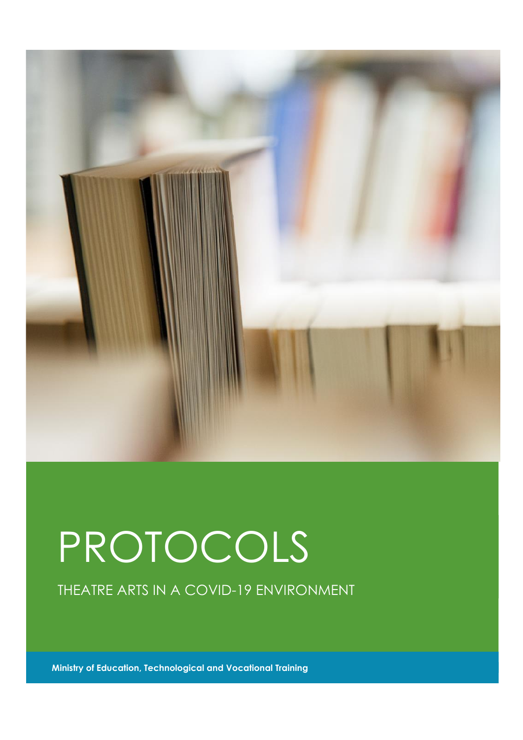

## PROTOCOLS

THEATRE ARTS IN A COVID-19 ENVIRONMENT

**Ministry of Education, Technological and Vocational Training**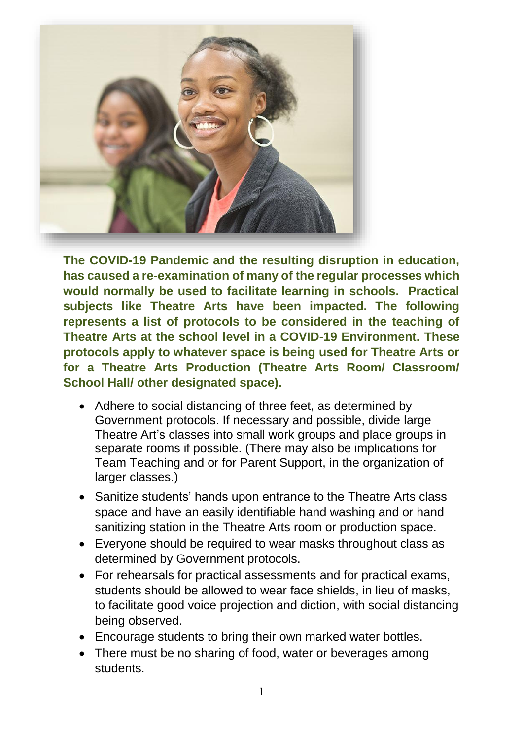

**The COVID-19 Pandemic and the resulting disruption in education, has caused a re-examination of many of the regular processes which would normally be used to facilitate learning in schools. Practical subjects like Theatre Arts have been impacted. The following represents a list of protocols to be considered in the teaching of Theatre Arts at the school level in a COVID-19 Environment. These protocols apply to whatever space is being used for Theatre Arts or for a Theatre Arts Production (Theatre Arts Room/ Classroom/ School Hall/ other designated space).** 

- Adhere to social distancing of three feet, as determined by Government protocols. If necessary and possible, divide large Theatre Art's classes into small work groups and place groups in separate rooms if possible. (There may also be implications for Team Teaching and or for Parent Support, in the organization of larger classes.)
- Sanitize students' hands upon entrance to the Theatre Arts class space and have an easily identifiable hand washing and or hand sanitizing station in the Theatre Arts room or production space.
- Everyone should be required to wear masks throughout class as determined by Government protocols.
- For rehearsals for practical assessments and for practical exams, students should be allowed to wear face shields, in lieu of masks, to facilitate good voice projection and diction, with social distancing being observed.
- Encourage students to bring their own marked water bottles.
- There must be no sharing of food, water or beverages among students.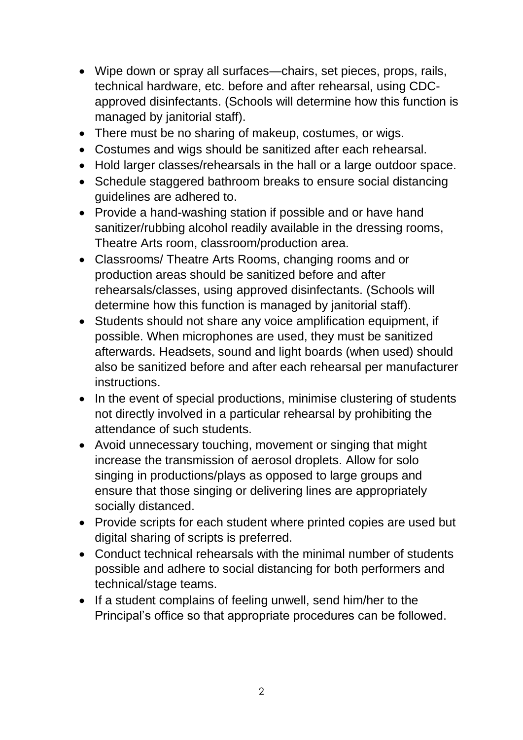- Wipe down or spray all surfaces—chairs, set pieces, props, rails, technical hardware, etc. before and after rehearsal, using CDCapproved disinfectants. (Schools will determine how this function is managed by janitorial staff).
- There must be no sharing of makeup, costumes, or wigs.
- Costumes and wigs should be sanitized after each rehearsal.
- Hold larger classes/rehearsals in the hall or a large outdoor space.
- Schedule staggered bathroom breaks to ensure social distancing guidelines are adhered to.
- Provide a hand-washing station if possible and or have hand sanitizer/rubbing alcohol readily available in the dressing rooms, Theatre Arts room, classroom/production area.
- Classrooms/ Theatre Arts Rooms, changing rooms and or production areas should be sanitized before and after rehearsals/classes, using approved disinfectants. (Schools will determine how this function is managed by janitorial staff).
- Students should not share any voice amplification equipment, if possible. When microphones are used, they must be sanitized afterwards. Headsets, sound and light boards (when used) should also be sanitized before and after each rehearsal per manufacturer instructions.
- In the event of special productions, minimise clustering of students not directly involved in a particular rehearsal by prohibiting the attendance of such students.
- Avoid unnecessary touching, movement or singing that might increase the transmission of aerosol droplets. Allow for solo singing in productions/plays as opposed to large groups and ensure that those singing or delivering lines are appropriately socially distanced.
- Provide scripts for each student where printed copies are used but digital sharing of scripts is preferred.
- Conduct technical rehearsals with the minimal number of students possible and adhere to social distancing for both performers and technical/stage teams.
- If a student complains of feeling unwell, send him/her to the Principal's office so that appropriate procedures can be followed.